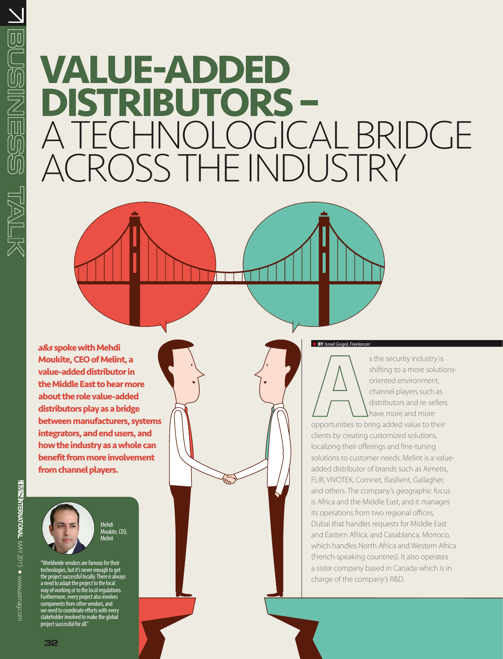# **Value-Added Distributors –**  A Technological Bridge ACROSS THE INDUSTRY

**BY** *Israel Gogol, Freelancer a* **Moukite, CEO of Melint, a value-added distributor in the Middle East to hear more about the role value-added distributors play as a bridge between manufacturers, systems integrators, and end users, and how the industry as a whole can benefit from more involvement from channel players.** 

Mehdi Moukite, CEO, Melint

"Worldwide vendors are famous for their technologies, but it's never enough to get the project successful locally. There is always a need to adapt the project to the local way of working or to the local regulations. Furthermore, every project also involves components from other vendors, and we need to coordinate efforts with every stakeholder involved to make the global project successful for all."

s the security industry is shifting to a more solutionsoriented environment, channel players such as distributors and re-sellers have more and more opportunities to bring added value to their clients by creating customized solutions, localizing their offerings and fine-tuning solutions to customer needs. Melint is a valueadded distributor of brands such as Aimetis, FLIR, VIVOTEK, Comnet, Rasilient, Gallagher, and others. The company's geographic focus is Africa and the Middle East, and it manages its operations from two regional offices, Dubai that handles requests for Middle East and Eastern Africa, and Casablanca, Morroco, which handles North Africa and Western Africa (French-speaking countries). It also operates a sister company based in Canada which is in charge of the company's R&D.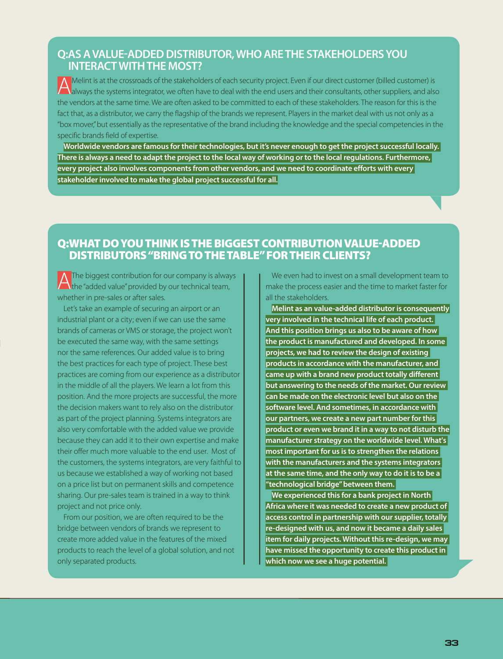#### **Q:AS A VALUE-ADDED DISTRIBUTOR, WHO ARE THE STAKEHOLDERS YOU INTERACT WITH THE MOST?**

Melint is at the crossroads of the stakeholders of each security project. Even if our direct customer (billed customer) is always the systems integrator, we often have to deal with the end users and their consultants, othe the vendors at the same time. We are often asked to be committed to each of these stakeholders. The reason for this is the fact that, as a distributor, we carry the flagship of the brands we represent. Players in the market deal with us not only as a "box mover," but essentially as the representative of the brand including the knowledge and the special competencies in the specific brands field of expertise.

Worldwide vendors are famous for their technologies, but it's never enough to get the project successful locally. There is always a need to adapt the project to the local way of working or to the local regulations. Furthermore, **every project also involves components from other vendors, and we need to coordinate efforts with every stakeholder involved to make the global project successful for all.**

#### Q:WHAT DO YOU THINK IS THE BIGGEST CONTRIBUTION VALUE-ADDED DISTRIBUTORS "BRING TO THE TABLE" FOR THEIR CLIENTS?

The biggest contribution for our company is always Ithe "added value" provided by our technical team, whether in pre-sales or after sales.

Let's take an example of securing an airport or an industrial plant or a city; even if we can use the same brands of cameras or VMS or storage, the project won't be executed the same way, with the same settings nor the same references. Our added value is to bring the best practices for each type of project. These best practices are coming from our experience as a distributor in the middle of all the players. We learn a lot from this position. And the more projects are successful, the more the decision makers want to rely also on the distributor as part of the project planning. Systems integrators are also very comfortable with the added value we provide because they can add it to their own expertise and make their offer much more valuable to the end user. Most of the customers, the systems integrators, are very faithful to us because we established a way of working not based on a price list but on permanent skills and competence sharing. Our pre-sales team is trained in a way to think project and not price only.

From our position, we are often required to be the bridge between vendors of brands we represent to create more added value in the features of the mixed products to reach the level of a global solution, and not only separated products.

We even had to invest on a small development team to make the process easier and the time to market faster for all the stakeholders.

**Melint as an value-added distributor is consequently very involved in the technical life of each product. And this position brings us also to be aware of how the product is manufactured and developed. In some projects, we had to review the design of existing products in accordance with the manufacturer, and came up with a brand new product totally different but answering to the needs of the market. Our review can be made on the electronic level but also on the software level. And sometimes, in accordance with our partners, we create a new part number for this product or even we brand it in a way to not disturb the manufacturer strategy on the worldwide level. What's most important for us is to strengthen the relations with the manufacturers and the systems integrators at the same time, and the only way to do it is to be a "technological bridge"between them.**

**We experienced this for a bank project in North Africa where it was needed to create a new product of access control in partnership with our supplier, totally re-designed with us, and now it became a daily sales item for daily projects. Without this re-design, we may have missed the opportunity to create this product in which now we see a huge potential.**